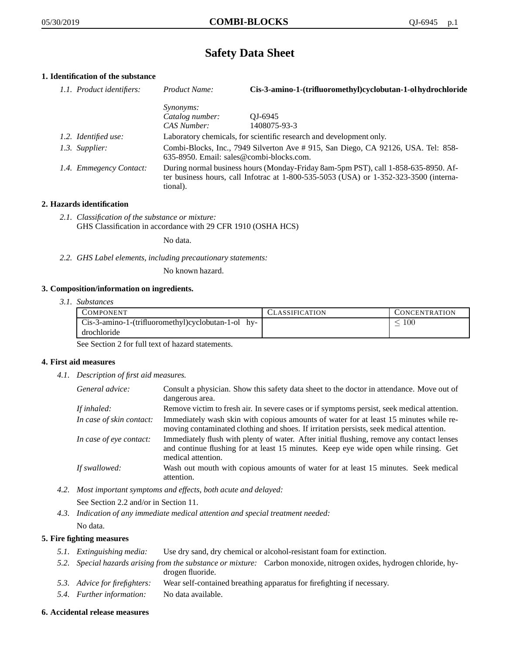## **Safety Data Sheet**

## **1. Identification of the substance**

| 1.1. Product identifiers: | Product Name:                                                                                                                                                                           | Cis-3-amino-1-(trifluoromethyl)cyclobutan-1-ol hydrochloride        |
|---------------------------|-----------------------------------------------------------------------------------------------------------------------------------------------------------------------------------------|---------------------------------------------------------------------|
|                           | <i>Synonyms:</i><br>Catalog number:                                                                                                                                                     | OJ-6945                                                             |
|                           | CAS Number:                                                                                                                                                                             | 1408075-93-3                                                        |
| 1.2. Identified use:      |                                                                                                                                                                                         | Laboratory chemicals, for scientific research and development only. |
| 1.3. Supplier:            | Combi-Blocks, Inc., 7949 Silverton Ave #915, San Diego, CA 92126, USA. Tel: 858-<br>635-8950. Email: sales@combi-blocks.com.                                                            |                                                                     |
| 1.4. Emmegency Contact:   | During normal business hours (Monday-Friday 8am-5pm PST), call 1-858-635-8950. Af-<br>ter business hours, call Infotrac at 1-800-535-5053 (USA) or 1-352-323-3500 (interna-<br>tional). |                                                                     |

### **2. Hazards identification**

*2.1. Classification of the substance or mixture:* GHS Classification in accordance with 29 CFR 1910 (OSHA HCS)

No data.

*2.2. GHS Label elements, including precautionary statements:*

No known hazard.

#### **3. Composition/information on ingredients.**

*3.1. Substances*

| <b>COMPONENT</b>                                   | <b>CLASSIFICATION</b> | CONCENTRATION |
|----------------------------------------------------|-----------------------|---------------|
| Cis-3-amino-1-(trifluoromethyl)cyclobutan-1-ol hy- |                       | $100\,$       |
| drochloride                                        |                       |               |

See Section 2 for full text of hazard statements.

#### **4. First aid measures**

*4.1. Description of first aid measures.*

| General advice:          | Consult a physician. Show this safety data sheet to the doctor in attendance. Move out of<br>dangerous area.                                                                                            |
|--------------------------|---------------------------------------------------------------------------------------------------------------------------------------------------------------------------------------------------------|
| If inhaled:              | Remove victim to fresh air. In severe cases or if symptoms persist, seek medical attention.                                                                                                             |
| In case of skin contact: | Immediately wash skin with copious amounts of water for at least 15 minutes while re-<br>moving contaminated clothing and shoes. If irritation persists, seek medical attention.                        |
| In case of eye contact:  | Immediately flush with plenty of water. After initial flushing, remove any contact lenses<br>and continue flushing for at least 15 minutes. Keep eye wide open while rinsing. Get<br>medical attention. |
| If swallowed:            | Wash out mouth with copious amounts of water for at least 15 minutes. Seek medical<br>attention.                                                                                                        |

*4.2. Most important symptoms and effects, both acute and delayed:*

See Section 2.2 and/or in Section 11.

*4.3. Indication of any immediate medical attention and special treatment needed:* No data.

# **5. Fire fighting measures**

- *5.1. Extinguishing media:* Use dry sand, dry chemical or alcohol-resistant foam for extinction.
- *5.2. Special hazards arising from the substance or mixture:* Carbon monoxide, nitrogen oxides, hydrogen chloride, hydrogen fluoride.
- *5.3. Advice for firefighters:* Wear self-contained breathing apparatus for firefighting if necessary.
- *5.4. Further information:* No data available.

#### **6. Accidental release measures**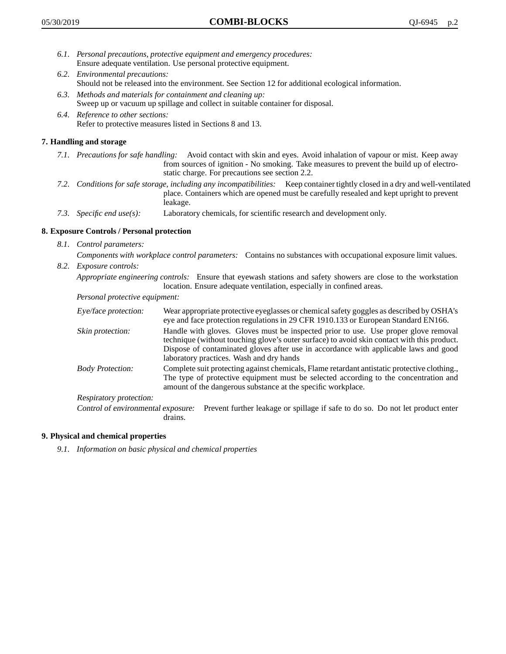- *6.1. Personal precautions, protective equipment and emergency procedures:* Ensure adequate ventilation. Use personal protective equipment.
- *6.2. Environmental precautions:* Should not be released into the environment. See Section 12 for additional ecological information.
- *6.3. Methods and materials for containment and cleaning up:* Sweep up or vacuum up spillage and collect in suitable container for disposal.
- *6.4. Reference to other sections:* Refer to protective measures listed in Sections 8 and 13.

## **7. Handling and storage**

- *7.1. Precautions for safe handling:* Avoid contact with skin and eyes. Avoid inhalation of vapour or mist. Keep away from sources of ignition - No smoking. Take measures to prevent the build up of electrostatic charge. For precautions see section 2.2.
- *7.2. Conditions for safe storage, including any incompatibilities:* Keep container tightly closed in a dry and well-ventilated place. Containers which are opened must be carefully resealed and kept upright to prevent leakage.
- *7.3. Specific end use(s):* Laboratory chemicals, for scientific research and development only.

## **8. Exposure Controls / Personal protection**

- *8.1. Control parameters:*
	- *Components with workplace control parameters:* Contains no substances with occupational exposure limit values.
- *8.2. Exposure controls:*

*Appropriate engineering controls:* Ensure that eyewash stations and safety showers are close to the workstation location. Ensure adequate ventilation, especially in confined areas.

*Personal protective equipment:*

| Eye/face protection:               | Wear appropriate protective eyeglasses or chemical safety goggles as described by OSHA's<br>eye and face protection regulations in 29 CFR 1910.133 or European Standard EN166.                                                                                                                                         |  |
|------------------------------------|------------------------------------------------------------------------------------------------------------------------------------------------------------------------------------------------------------------------------------------------------------------------------------------------------------------------|--|
| Skin protection:                   | Handle with gloves. Gloves must be inspected prior to use. Use proper glove removal<br>technique (without touching glove's outer surface) to avoid skin contact with this product.<br>Dispose of contaminated gloves after use in accordance with applicable laws and good<br>laboratory practices. Wash and dry hands |  |
| <b>Body Protection:</b>            | Complete suit protecting against chemicals, Flame retardant antistatic protective clothing.,<br>The type of protective equipment must be selected according to the concentration and<br>amount of the dangerous substance at the specific workplace.                                                                   |  |
| Respiratory protection:            |                                                                                                                                                                                                                                                                                                                        |  |
| Control of environmental exposure: | Prevent further leakage or spillage if safe to do so. Do not let product enter<br>drains.                                                                                                                                                                                                                              |  |

## **9. Physical and chemical properties**

*9.1. Information on basic physical and chemical properties*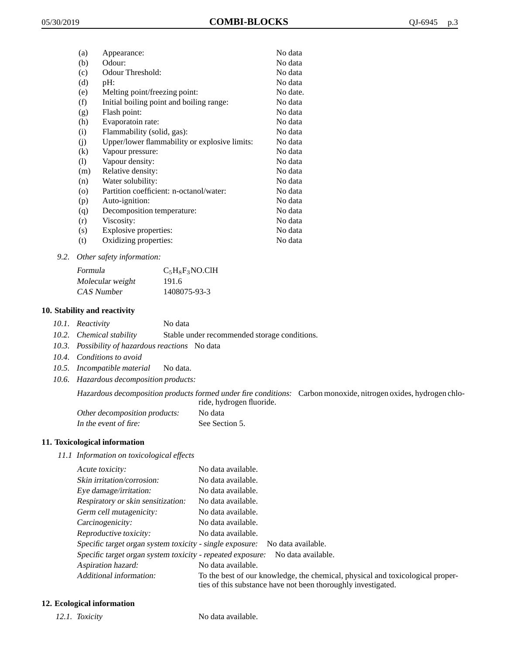| (a)                          | Appearance:                                   | No data  |
|------------------------------|-----------------------------------------------|----------|
| (b)                          | Odour:                                        | No data  |
| (c)                          | Odour Threshold:                              | No data  |
| (d)                          | pH:                                           | No data  |
| (e)                          | Melting point/freezing point:                 | No date. |
| (f)                          | Initial boiling point and boiling range:      | No data  |
| (g)                          | Flash point:                                  | No data  |
| (h)                          | Evaporatoin rate:                             | No data  |
| (i)                          | Flammability (solid, gas):                    | No data  |
| (i)                          | Upper/lower flammability or explosive limits: | No data  |
| (k)                          | Vapour pressure:                              | No data  |
| $\left( \frac{1}{2} \right)$ | Vapour density:                               | No data  |
| (m)                          | Relative density:                             | No data  |
| (n)                          | Water solubility:                             | No data  |
| $\circ$                      | Partition coefficient: n-octanol/water:       | No data  |
| (p)                          | Auto-ignition:                                | No data  |
| (q)                          | Decomposition temperature:                    | No data  |
| (r)                          | Viscosity:                                    | No data  |
| (s)                          | Explosive properties:                         | No data  |
| (t)                          | Oxidizing properties:                         | No data  |
|                              |                                               |          |

*9.2. Other safety information:*

| Formula          | $C_5H_8F_3NO$ .ClH |
|------------------|--------------------|
| Molecular weight | 191.6              |
| CAS Number       | 1408075-93-3       |

### **10. Stability and reactivity**

|  | 10.1. Reactivity | No data |
|--|------------------|---------|
|--|------------------|---------|

- *10.2. Chemical stability* Stable under recommended storage conditions.
- *10.3. Possibility of hazardous reactions* No data
- *10.4. Conditions to avoid*
- *10.5. Incompatible material* No data.
- *10.6. Hazardous decomposition products:*

Hazardous decomposition products formed under fire conditions: Carbon monoxide, nitrogen oxides, hydrogen chloride, hydrogen fluoride.

| Other decomposition products: | No data        |
|-------------------------------|----------------|
| In the event of fire:         | See Section 5. |

#### **11. Toxicological information**

*11.1 Information on toxicological effects*

| Acute toxicity:                                            | No data available.                                                                                                                              |
|------------------------------------------------------------|-------------------------------------------------------------------------------------------------------------------------------------------------|
| Skin irritation/corrosion:                                 | No data available.                                                                                                                              |
| Eye damage/irritation:                                     | No data available.                                                                                                                              |
| Respiratory or skin sensitization:                         | No data available.                                                                                                                              |
| Germ cell mutagenicity:                                    | No data available.                                                                                                                              |
| Carcinogenicity:                                           | No data available.                                                                                                                              |
| Reproductive toxicity:                                     | No data available.                                                                                                                              |
| Specific target organ system toxicity - single exposure:   | No data available.                                                                                                                              |
| Specific target organ system toxicity - repeated exposure: | No data available.                                                                                                                              |
| Aspiration hazard:                                         | No data available.                                                                                                                              |
| Additional information:                                    | To the best of our knowledge, the chemical, physical and toxicological proper-<br>ties of this substance have not been thoroughly investigated. |

## **12. Ecological information**

*12.1. Toxicity* No data available.